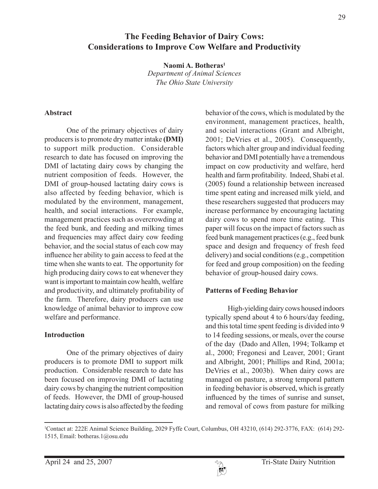# **The Feeding Behavior of Dairy Cows: Considerations to Improve Cow Welfare and Productivity**

**Naomi A. Botheras1** *Department of Animal Sciences The Ohio State University*

#### **Abstract**

One of the primary objectives of dairy producers is to promote dry matter intake **(DMI)** to support milk production. Considerable research to date has focused on improving the DMI of lactating dairy cows by changing the nutrient composition of feeds. However, the DMI of group-housed lactating dairy cows is also affected by feeding behavior, which is modulated by the environment, management, health, and social interactions. For example, management practices such as overcrowding at the feed bunk, and feeding and milking times and frequencies may affect dairy cow feeding behavior, and the social status of each cow may influence her ability to gain access to feed at the time when she wants to eat. The opportunity for high producing dairy cows to eat whenever they want is important to maintain cow health, welfare and productivity, and ultimately profitability of the farm. Therefore, dairy producers can use knowledge of animal behavior to improve cow welfare and performance.

### **Introduction**

One of the primary objectives of dairy producers is to promote DMI to support milk production. Considerable research to date has been focused on improving DMI of lactating dairy cows by changing the nutrient composition of feeds. However, the DMI of group-housed lactating dairy cows is also affected by the feeding behavior of the cows, which is modulated by the environment, management practices, health, and social interactions (Grant and Albright, 2001; DeVries et al., 2005). Consequently, factors which alter group and individual feeding behavior and DMI potentially have a tremendous impact on cow productivity and welfare, herd health and farm profitability. Indeed, Shabi et al. (2005) found a relationship between increased time spent eating and increased milk yield, and these researchers suggested that producers may increase performance by encouraging lactating dairy cows to spend more time eating. This paper will focus on the impact of factors such as feed bunk management practices (e.g., feed bunk space and design and frequency of fresh feed delivery) and social conditions (e.g., competition for feed and group composition) on the feeding behavior of group-housed dairy cows.

# **Patterns of Feeding Behavior**

High-yielding dairy cows housed indoors typically spend about 4 to 6 hours/day feeding, and this total time spent feeding is divided into 9 to 14 feeding sessions, or meals, over the course of the day (Dado and Allen, 1994; Tolkamp et al., 2000; Fregonesi and Leaver, 2001; Grant and Albright, 2001; Phillips and Rind, 2001a; DeVries et al., 2003b). When dairy cows are managed on pasture, a strong temporal pattern in feeding behavior is observed, which is greatly influenced by the times of sunrise and sunset, and removal of cows from pasture for milking



<sup>1</sup> Contact at: 222E Animal Science Building, 2029 Fyffe Court, Columbus, OH 43210, (614) 292-3776, FAX: (614) 292- 1515, Email: botheras.1@osu.edu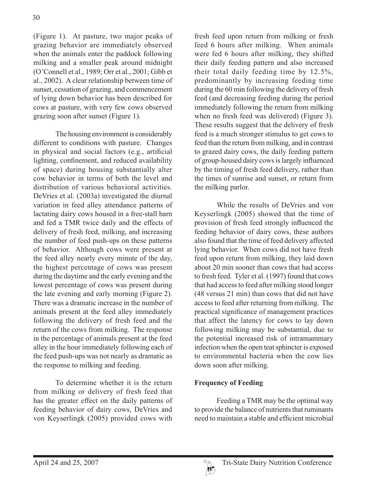(Figure 1). At pasture, two major peaks of grazing behavior are immediately observed when the animals enter the paddock following milking and a smaller peak around midnight (O'Connell et al., 1989; Orr et al., 2001; Gibb et al., 2002). A clear relationship between time of sunset, cessation of grazing, and commencement of lying down behavior has been described for cows at pasture, with very few cows observed grazing soon after sunset (Figure 1).

The housing environment is considerably different to conditions with pasture. Changes in physical and social factors (e.g., artificial lighting, confinement, and reduced availability of space) during housing substantially alter cow behavior in terms of both the level and distribution of various behavioral activities. DeVries et al. (2003a) investigated the diurnal variation in feed alley attendance patterns of lactating dairy cows housed in a free-stall barn and fed a TMR twice daily and the effects of delivery of fresh feed, milking, and increasing the number of feed push-ups on these patterns of behavior. Although cows were present at the feed alley nearly every minute of the day, the highest percentage of cows was present during the daytime and the early evening and the lowest percentage of cows was present during the late evening and early morning (Figure 2). There was a dramatic increase in the number of animals present at the feed alley immediately following the delivery of fresh feed and the return of the cows from milking. The response in the percentage of animals present at the feed alley in the hour immediately following each of the feed push-ups was not nearly as dramatic as the response to milking and feeding.

To determine whether it is the return from milking or delivery of fresh feed that has the greater effect on the daily patterns of feeding behavior of dairy cows, DeVries and von Keyserlingk (2005) provided cows with

fresh feed upon return from milking or fresh feed 6 hours after milking. When animals were fed 6 hours after milking, they shifted their daily feeding pattern and also increased their total daily feeding time by 12.5%, predominantly by increasing feeding time during the 60 min following the delivery of fresh feed (and decreasing feeding during the period immediately following the return from milking when no fresh feed was delivered) (Figure 3). These results suggest that the delivery of fresh feed is a much stronger stimulus to get cows to feed than the return from milking, and in contrast to grazed dairy cows, the daily feeding pattern of group-housed dairy cows is largely influenced by the timing of fresh feed delivery, rather than the times of sunrise and sunset, or return from the milking parlor.

While the results of DeVries and von Keyserlingk (2005) showed that the time of provision of fresh feed strongly influenced the feeding behavior of dairy cows, these authors also found that the time of feed delivery affected lying behavior. When cows did not have fresh feed upon return from milking, they laid down about 20 min sooner than cows that had access to fresh feed. Tyler et al. (1997) found that cows that had access to feed after milking stood longer (48 versus 21 min) than cows that did not have access to feed after returning from milking. The practical significance of management practices that affect the latency for cows to lay down following milking may be substantial, due to the potential increased risk of intramammary infection when the open teat sphincter is exposed to environmental bacteria when the cow lies down soon after milking.

# **Frequency of Feeding**

Feeding a TMR may be the optimal way to provide the balance of nutrients that ruminants need to maintain a stable and efficient microbial

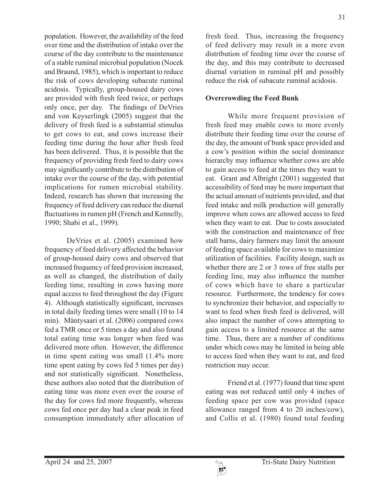population. However, the availability of the feed over time and the distribution of intake over the course of the day contribute to the maintenance of a stable ruminal microbial population (Nocek and Braund, 1985), which is important to reduce the risk of cows developing subacute ruminal acidosis. Typically, group-housed dairy cows are provided with fresh feed twice, or perhaps only once, per day. The findings of DeVries and von Keyserlingk (2005) suggest that the delivery of fresh feed is a substantial stimulus to get cows to eat, and cows increase their feeding time during the hour after fresh feed has been delivered. Thus, it is possible that the frequency of providing fresh feed to dairy cows may significantly contribute to the distribution of intake over the course of the day, with potential implications for rumen microbial stability. Indeed, research has shown that increasing the frequency of feed delivery can reduce the diurnal fluctuations in rumen pH (French and Kennelly, 1990; Shabi et al., 1999).

DeVries et al. (2005) examined how frequency of feed delivery affected the behavior of group-housed dairy cows and observed that increased frequency of feed provision increased, as well as changed, the distribution of daily feeding time, resulting in cows having more equal access to feed throughout the day (Figure 4). Although statistically significant, increases in total daily feeding times were small (10 to 14 min). Mäntysaari et al. (2006) compared cows fed a TMR once or 5 times a day and also found total eating time was longer when feed was delivered more often. However, the difference in time spent eating was small (1.4% more time spent eating by cows fed 5 times per day) and not statistically significant. Nonetheless, these authors also noted that the distribution of eating time was more even over the course of the day for cows fed more frequently, whereas cows fed once per day had a clear peak in feed consumption immediately after allocation of

fresh feed. Thus, increasing the frequency of feed delivery may result in a more even distribution of feeding time over the course of the day, and this may contribute to decreased diurnal variation in ruminal pH and possibly reduce the risk of subacute ruminal acidosis.

### **Overcrowding the Feed Bunk**

While more frequent provision of fresh feed may enable cows to more evenly distribute their feeding time over the course of the day, the amount of bunk space provided and a cow's position within the social dominance hierarchy may influence whether cows are able to gain access to feed at the times they want to eat. Grant and Albright (2001) suggested that accessibility of feed may be more important that the actual amount of nutrients provided, and that feed intake and milk production will generally improve when cows are allowed access to feed when they want to eat. Due to costs associated with the construction and maintenance of free stall barns, dairy farmers may limit the amount of feeding space available for cows to maximize utilization of facilities. Facility design, such as whether there are 2 or 3 rows of free stalls per feeding line, may also influence the number of cows which have to share a particular resource. Furthermore, the tendency for cows to synchronize their behavior, and especially to want to feed when fresh feed is delivered, will also impact the number of cows attempting to gain access to a limited resource at the same time. Thus, there are a number of conditions under which cows may be limited in being able to access feed when they want to eat, and feed restriction may occur.

Friend et al. (1977) found that time spent eating was not reduced until only 4 inches of feeding space per cow was provided (space allowance ranged from 4 to 20 inches/cow), and Collis et al. (1980) found total feeding

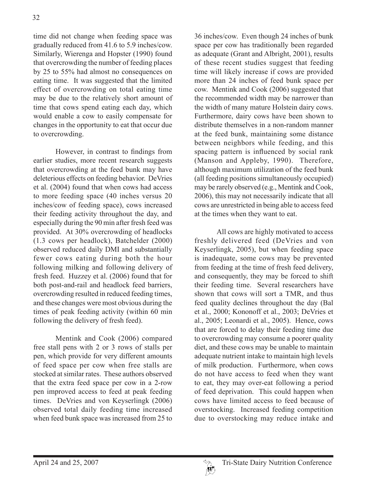time did not change when feeding space was gradually reduced from 41.6 to 5.9 inches/cow. Similarly, Wierenga and Hopster (1990) found that overcrowding the number of feeding places by 25 to 55% had almost no consequences on eating time. It was suggested that the limited effect of overcrowding on total eating time may be due to the relatively short amount of time that cows spend eating each day, which would enable a cow to easily compensate for changes in the opportunity to eat that occur due to overcrowding.

However, in contrast to findings from earlier studies, more recent research suggests that overcrowding at the feed bunk may have deleterious effects on feeding behavior. DeVries et al. (2004) found that when cows had access to more feeding space (40 inches versus 20 inches/cow of feeding space), cows increased their feeding activity throughout the day, and especially during the 90 min after fresh feed was provided. At 30% overcrowding of headlocks (1.3 cows per headlock), Batchelder (2000) observed reduced daily DMI and substantially fewer cows eating during both the hour following milking and following delivery of fresh feed. Huzzey et al. (2006) found that for both post-and-rail and headlock feed barriers, overcrowding resulted in reduced feeding times, and these changes were most obvious during the times of peak feeding activity (within 60 min following the delivery of fresh feed).

Mentink and Cook (2006) compared free stall pens with 2 or 3 rows of stalls per pen, which provide for very different amounts of feed space per cow when free stalls are stocked at similar rates. These authors observed that the extra feed space per cow in a 2-row pen improved access to feed at peak feeding times. DeVries and von Keyserlingk (2006) observed total daily feeding time increased when feed bunk space was increased from 25 to

36 inches/cow. Even though 24 inches of bunk space per cow has traditionally been regarded as adequate (Grant and Albright, 2001), results of these recent studies suggest that feeding time will likely increase if cows are provided more than 24 inches of feed bunk space per cow. Mentink and Cook (2006) suggested that the recommended width may be narrower than the width of many mature Holstein dairy cows. Furthermore, dairy cows have been shown to distribute themselves in a non-random manner at the feed bunk, maintaining some distance between neighbors while feeding, and this spacing pattern is influenced by social rank (Manson and Appleby, 1990). Therefore, although maximum utilization of the feed bunk (all feeding positions simultaneously occupied) may be rarely observed (e.g., Mentink and Cook, 2006), this may not necessarily indicate that all cows are unrestricted in being able to access feed at the times when they want to eat.

All cows are highly motivated to access freshly delivered feed (DeVries and von Keyserlingk, 2005), but when feeding space is inadequate, some cows may be prevented from feeding at the time of fresh feed delivery, and consequently, they may be forced to shift their feeding time. Several researchers have shown that cows will sort a TMR, and thus feed quality declines throughout the day (Bal et al., 2000; Kononoff et al., 2003; DeVries et al., 2005; Leonardi et al., 2005). Hence, cows that are forced to delay their feeding time due to overcrowding may consume a poorer quality diet, and these cows may be unable to maintain adequate nutrient intake to maintain high levels of milk production. Furthermore, when cows do not have access to feed when they want to eat, they may over-eat following a period of feed deprivation. This could happen when cows have limited access to feed because of overstocking. Increased feeding competition due to overstocking may reduce intake and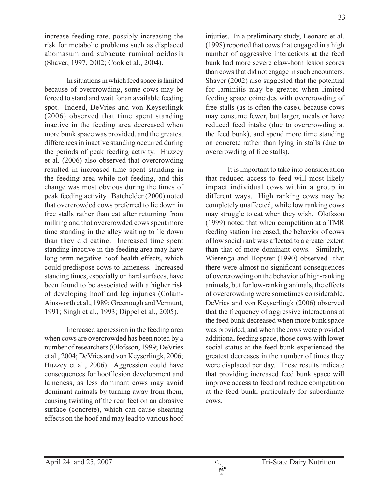increase feeding rate, possibly increasing the risk for metabolic problems such as displaced abomasum and subacute ruminal acidosis (Shaver, 1997, 2002; Cook et al., 2004).

In situations in which feed space is limited because of overcrowding, some cows may be forced to stand and wait for an available feeding spot. Indeed, DeVries and von Keyserlingk (2006) observed that time spent standing inactive in the feeding area decreased when more bunk space was provided, and the greatest differences in inactive standing occurred during the periods of peak feeding activity. Huzzey et al. (2006) also observed that overcrowding resulted in increased time spent standing in the feeding area while not feeding, and this change was most obvious during the times of peak feeding activity. Batchelder (2000) noted that overcrowded cows preferred to lie down in free stalls rather than eat after returning from milking and that overcrowded cows spent more time standing in the alley waiting to lie down than they did eating. Increased time spent standing inactive in the feeding area may have long-term negative hoof health effects, which could predispose cows to lameness. Increased standing times, especially on hard surfaces, have been found to be associated with a higher risk of developing hoof and leg injuries (Colam-Ainsworth et al., 1989; Greenough and Vermunt, 1991; Singh et al., 1993; Dippel et al., 2005).

Increased aggression in the feeding area when cows are overcrowded has been noted by a number of researchers (Olofsson, 1999; DeVries et al., 2004; DeVries and von Keyserlingk, 2006; Huzzey et al., 2006). Aggression could have consequences for hoof lesion development and lameness, as less dominant cows may avoid dominant animals by turning away from them, causing twisting of the rear feet on an abrasive surface (concrete), which can cause shearing effects on the hoof and may lead to various hoof

injuries. In a preliminary study, Leonard et al. (1998) reported that cows that engaged in a high number of aggressive interactions at the feed bunk had more severe claw-horn lesion scores than cows that did not engage in such encounters. Shaver (2002) also suggested that the potential for laminitis may be greater when limited feeding space coincides with overcrowding of free stalls (as is often the case), because cows may consume fewer, but larger, meals or have reduced feed intake (due to overcrowding at the feed bunk), and spend more time standing on concrete rather than lying in stalls (due to overcrowding of free stalls).

It is important to take into consideration that reduced access to feed will most likely impact individual cows within a group in different ways. High ranking cows may be completely unaffected, while low ranking cows may struggle to eat when they wish. Olofsson (1999) noted that when competition at a TMR feeding station increased, the behavior of cows of low social rank was affected to a greater extent than that of more dominant cows. Similarly, Wierenga and Hopster (1990) observed that there were almost no significant consequences of overcrowding on the behavior of high-ranking animals, but for low-ranking animals, the effects of overcrowding were sometimes considerable. DeVries and von Keyserlingk (2006) observed that the frequency of aggressive interactions at the feed bunk decreased when more bunk space was provided, and when the cows were provided additional feeding space, those cows with lower social status at the feed bunk experienced the greatest decreases in the number of times they were displaced per day. These results indicate that providing increased feed bunk space will improve access to feed and reduce competition at the feed bunk, particularly for subordinate cows.

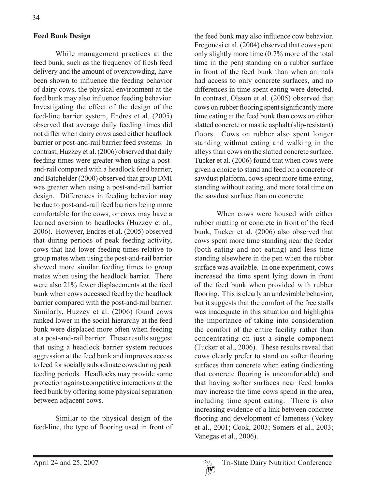### **Feed Bunk Design**

While management practices at the feed bunk, such as the frequency of fresh feed delivery and the amount of overcrowding, have been shown to influence the feeding behavior of dairy cows, the physical environment at the feed bunk may also influence feeding behavior. Investigating the effect of the design of the feed-line barrier system, Endres et al. (2005) observed that average daily feeding times did not differ when dairy cows used either headlock barrier or post-and-rail barrier feed systems. In contrast, Huzzey et al. (2006) observed that daily feeding times were greater when using a postand-rail compared with a headlock feed barrier, and Batchelder (2000) observed that group DMI was greater when using a post-and-rail barrier design. Differences in feeding behavior may be due to post-and-rail feed barriers being more comfortable for the cows, or cows may have a learned aversion to headlocks (Huzzey et al., 2006). However, Endres et al. (2005) observed that during periods of peak feeding activity, cows that had lower feeding times relative to group mates when using the post-and-rail barrier showed more similar feeding times to group mates when using the headlock barrier. There were also 21% fewer displacements at the feed bunk when cows accessed feed by the headlock barrier compared with the post-and-rail barrier. Similarly, Huzzey et al. (2006) found cows ranked lower in the social hierarchy at the feed bunk were displaced more often when feeding at a post-and-rail barrier. These results suggest that using a headlock barrier system reduces aggression at the feed bunk and improves access to feed for socially subordinate cows during peak feeding periods. Headlocks may provide some protection against competitive interactions at the feed bunk by offering some physical separation between adjacent cows.

Similar to the physical design of the feed-line, the type of flooring used in front of the feed bunk may also influence cow behavior. Fregonesi et al. (2004) observed that cows spent only slightly more time (0.7% more of the total time in the pen) standing on a rubber surface in front of the feed bunk than when animals had access to only concrete surfaces, and no differences in time spent eating were detected. In contrast, Olsson et al. (2005) observed that cows on rubber flooring spent significantly more time eating at the feed bunk than cows on either slatted concrete or mastic asphalt (slip-resistant) floors. Cows on rubber also spent longer standing without eating and walking in the alleys than cows on the slatted concrete surface. Tucker et al. (2006) found that when cows were given a choice to stand and feed on a concrete or sawdust platform, cows spent more time eating, standing without eating, and more total time on the sawdust surface than on concrete.

When cows were housed with either rubber matting or concrete in front of the feed bunk, Tucker et al. (2006) also observed that cows spent more time standing near the feeder (both eating and not eating) and less time standing elsewhere in the pen when the rubber surface was available. In one experiment, cows increased the time spent lying down in front of the feed bunk when provided with rubber flooring. This is clearly an undesirable behavior, but it suggests that the comfort of the free stalls was inadequate in this situation and highlights the importance of taking into consideration the comfort of the entire facility rather than concentrating on just a single component (Tucker et al., 2006). These results reveal that cows clearly prefer to stand on softer flooring surfaces than concrete when eating (indicating that concrete flooring is uncomfortable) and that having softer surfaces near feed bunks may increase the time cows spend in the area, including time spent eating. There is also increasing evidence of a link between concrete flooring and development of lameness (Vokey et al., 2001; Cook, 2003; Somers et al., 2003; Vanegas et al., 2006).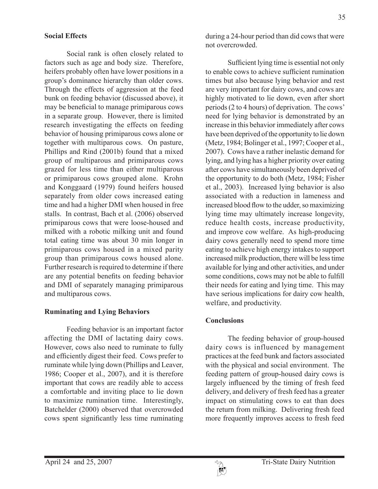#### **Social Effects**

Social rank is often closely related to factors such as age and body size. Therefore, heifers probably often have lower positions in a group's dominance hierarchy than older cows. Through the effects of aggression at the feed bunk on feeding behavior (discussed above), it may be beneficial to manage primiparous cows in a separate group. However, there is limited research investigating the effects on feeding behavior of housing primiparous cows alone or together with multiparous cows. On pasture, Phillips and Rind (2001b) found that a mixed group of multiparous and primiparous cows grazed for less time than either multiparous or primiparous cows grouped alone. Krohn and Konggaard (1979) found heifers housed separately from older cows increased eating time and had a higher DMI when housed in free stalls. In contrast, Bach et al. (2006) observed primiparous cows that were loose-housed and milked with a robotic milking unit and found total eating time was about 30 min longer in primiparous cows housed in a mixed parity group than primiparous cows housed alone. Further research is required to determine if there are any potential benefits on feeding behavior and DMI of separately managing primiparous and multiparous cows.

#### **Ruminating and Lying Behaviors**

Feeding behavior is an important factor affecting the DMI of lactating dairy cows. However, cows also need to ruminate to fully and efficiently digest their feed. Cows prefer to ruminate while lying down (Phillips and Leaver, 1986; Cooper et al., 2007), and it is therefore important that cows are readily able to access a comfortable and inviting place to lie down to maximize rumination time. Interestingly, Batchelder (2000) observed that overcrowded cows spent significantly less time ruminating during a 24-hour period than did cows that were not overcrowded.

Sufficient lying time is essential not only to enable cows to achieve sufficient rumination times but also because lying behavior and rest are very important for dairy cows, and cows are highly motivated to lie down, even after short periods (2 to 4 hours) of deprivation. The cows' need for lying behavior is demonstrated by an increase in this behavior immediately after cows have been deprived of the opportunity to lie down (Metz, 1984; Bolinger et al., 1997; Cooper et al., 2007). Cows have a rather inelastic demand for lying, and lying has a higher priority over eating after cows have simultaneously been deprived of the opportunity to do both (Metz, 1984; Fisher et al., 2003). Increased lying behavior is also associated with a reduction in lameness and increased blood flow to the udder, so maximizing lying time may ultimately increase longevity, reduce health costs, increase productivity, and improve cow welfare. As high-producing dairy cows generally need to spend more time eating to achieve high energy intakes to support increased milk production, there will be less time available for lying and other activities, and under some conditions, cows may not be able to fulfill their needs for eating and lying time. This may have serious implications for dairy cow health, welfare, and productivity.

#### **Conclusions**

The feeding behavior of group-housed dairy cows is influenced by management practices at the feed bunk and factors associated with the physical and social environment. The feeding pattern of group-housed dairy cows is largely influenced by the timing of fresh feed delivery, and delivery of fresh feed has a greater impact on stimulating cows to eat than does the return from milking. Delivering fresh feed more frequently improves access to fresh feed

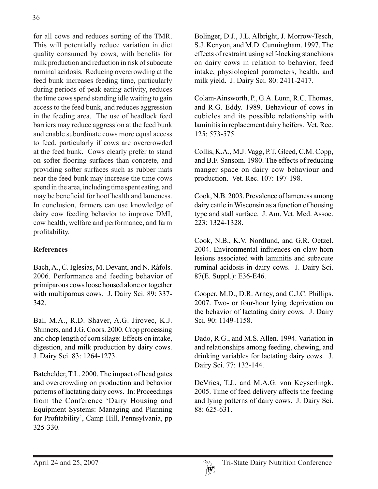for all cows and reduces sorting of the TMR. This will potentially reduce variation in diet quality consumed by cows, with benefits for milk production and reduction in risk of subacute ruminal acidosis. Reducing overcrowding at the feed bunk increases feeding time, particularly during periods of peak eating activity, reduces the time cows spend standing idle waiting to gain access to the feed bunk, and reduces aggression in the feeding area. The use of headlock feed barriers may reduce aggression at the feed bunk and enable subordinate cows more equal access to feed, particularly if cows are overcrowded at the feed bunk. Cows clearly prefer to stand on softer flooring surfaces than concrete, and providing softer surfaces such as rubber mats near the feed bunk may increase the time cows spend in the area, including time spent eating, and may be beneficial for hoof health and lameness. In conclusion, farmers can use knowledge of dairy cow feeding behavior to improve DMI, cow health, welfare and performance, and farm profitability.

# **References**

Bach, A., C. Iglesias, M. Devant, and N. Ràfols. 2006. Performance and feeding behavior of primiparous cows loose housed alone or together with multiparous cows. J. Dairy Sci. 89: 337- 342.

Bal, M.A., R.D. Shaver, A.G. Jirovec, K.J. Shinners, and J.G. Coors. 2000. Crop processing and chop length of corn silage: Effects on intake, digestion, and milk production by dairy cows. J. Dairy Sci. 83: 1264-1273.

Batchelder, T.L. 2000. The impact of head gates and overcrowding on production and behavior patterns of lactating dairy cows. In: Proceedings from the Conference 'Dairy Housing and Equipment Systems: Managing and Planning for Profitability', Camp Hill, Pennsylvania, pp 325-330.

Bolinger, D.J., J.L. Albright, J. Morrow-Tesch, S.J. Kenyon, and M.D. Cunningham. 1997. The effects of restraint using self-locking stanchions on dairy cows in relation to behavior, feed intake, physiological parameters, health, and milk yield. J. Dairy Sci. 80: 2411-2417.

Colam-Ainsworth, P., G.A. Lunn, R.C. Thomas, and R.G. Eddy. 1989. Behaviour of cows in cubicles and its possible relationship with laminitis in replacement dairy heifers. Vet. Rec. 125: 573-575.

Collis, K.A., M.J. Vagg, P.T. Gleed, C.M. Copp, and B.F. Sansom. 1980. The effects of reducing manger space on dairy cow behaviour and production. Vet. Rec. 107: 197-198.

Cook, N.B. 2003. Prevalence of lameness among dairy cattle in Wisconsin as a function of housing type and stall surface. J. Am. Vet. Med. Assoc. 223: 1324-1328.

Cook, N.B., K.V. Nordlund, and G.R. Oetzel. 2004. Environmental influences on claw horn lesions associated with laminitis and subacute ruminal acidosis in dairy cows. J. Dairy Sci. 87(E. Suppl.): E36-E46.

Cooper, M.D., D.R. Arney, and C.J.C. Phillips. 2007. Two- or four-hour lying deprivation on the behavior of lactating dairy cows. J. Dairy Sci. 90: 1149-1158.

Dado, R.G., and M.S. Allen. 1994. Variation in and relationships among feeding, chewing, and drinking variables for lactating dairy cows. J. Dairy Sci. 77: 132-144.

DeVries, T.J., and M.A.G. von Keyserlingk. 2005. Time of feed delivery affects the feeding and lying patterns of dairy cows. J. Dairy Sci.  $88.625-631$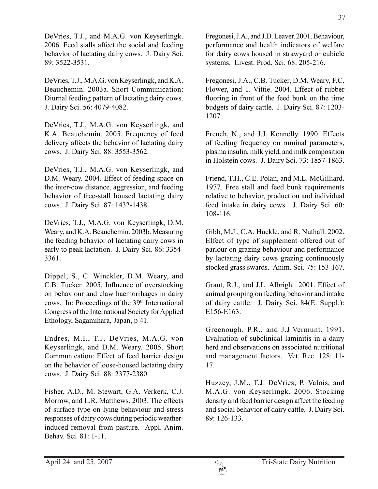DeVries, T.J., and M.A.G. von Keyserlingk. 2006. Feed stalls affect the social and feeding behavior of lactating dairy cows. J. Dairy Sci. 89: 3522-3531.

DeVries, T.J., M.A.G. von Keyserlingk, and K.A. Beauchemin. 2003a. Short Communication: Diurnal feeding pattern of lactating dairy cows. J. Dairy Sci. 56: 4079-4082.

DeVries, T.J., M.A.G. von Keyserlingk, and K.A. Beauchemin. 2005. Frequency of feed delivery affects the behavior of lactating dairy cows. J. Dairy Sci. 88: 3553-3562.

DeVries, T.J., M.A.G. von Keyserlingk, and D.M. Weary. 2004. Effect of feeding space on the inter-cow distance, aggression, and feeding behavior of free-stall housed lactating dairy cows. J. Dairy Sci. 87: 1432-1438.

DeVries, T.J., M.A.G. von Keyserlingk, D.M. Weary, and K.A. Beauchemin. 2003b. Measuring the feeding behavior of lactating dairy cows in early to peak lactation. J. Dairy Sci. 86: 3354- 3361.

Dippel, S., C. Winckler, D.M. Weary, and C.B. Tucker. 2005. Influence of overstocking on behaviour and claw haemorrhages in dairy cows. In: Proceedings of the 39th International Congress of the International Society for Applied Ethology, Sagamihara, Japan, p 41.

Endres, M.I., T.J. DeVries, M.A.G. von Keyserlingk, and D.M. Weary. 2005. Short Communication: Effect of feed barrier design on the behavior of loose-housed lactating dairy cows. J. Dairy Sci. 88: 2377-2380.

Fisher, A.D., M. Stewart, G.A. Verkerk, C.J. Morrow, and L.R. Matthews. 2003. The effects of surface type on lying behaviour and stress responses of dairy cows during periodic weatherinduced removal from pasture. Appl. Anim. Behav. Sci. 81: 1-11.

Fregonesi, J.A., and J.D. Leaver. 2001. Behaviour, performance and health indicators of welfare for dairy cows housed in strawyard or cubicle systems. Livest. Prod. Sci. 68: 205-216.

Fregonesi, J.A., C.B. Tucker, D.M. Weary, F.C. Flower, and T. Vittie. 2004. Effect of rubber flooring in front of the feed bunk on the time budgets of dairy cattle. J. Dairy Sci. 87: 1203- 1207.

French, N., and J.J. Kennelly. 1990. Effects of feeding frequency on ruminal parameters, plasma insulin, milk yield, and milk composition in Holstein cows. J. Dairy Sci. 73: 1857-1863.

Friend, T.H., C.E. Polan, and M.L. McGilliard. 1977. Free stall and feed bunk requirements relative to behavior, production and individual feed intake in dairy cows. J. Dairy Sci. 60: 108-116.

Gibb, M.J., C.A. Huckle, and R. Nuthall. 2002. Effect of type of supplement offered out of parlour on grazing behaviour and performance by lactating dairy cows grazing continuously stocked grass swards. Anim. Sci. 75: 153-167.

Grant, R.J., and J.L. Albright. 2001. Effect of animal grouping on feeding behavior and intake of dairy cattle. J. Dairy Sci. 84(E. Suppl.): E156-E163.

Greenough, P.R., and J.J.Vermunt. 1991. Evaluation of subclinical laminitis in a dairy herd and observations on associated nutritional and management factors. Vet. Rec. 128: 11- 17.

Huzzey, J.M., T.J. DeVries, P. Valois, and M.A.G. von Keyserlingk. 2006. Stocking density and feed barrier design affect the feeding and social behavior of dairy cattle. J. Dairy Sci. 89: 126-133.

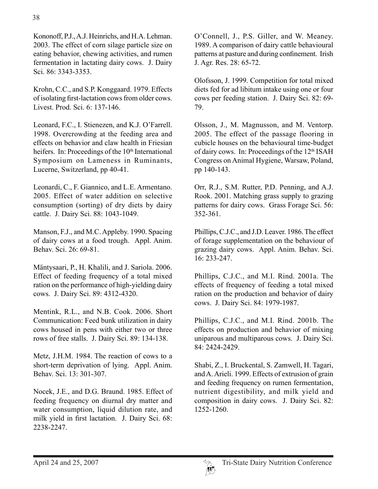Kononoff, P.J., A.J. Heinrichs, and H.A. Lehman. 2003. The effect of corn silage particle size on eating behavior, chewing activities, and rumen fermentation in lactating dairy cows. J. Dairy Sci. 86: 3343-3353.

Krohn, C.C., and S.P. Konggaard. 1979. Effects of isolating first-lactation cows from older cows. Livest. Prod. Sci. 6: 137-146.

Leonard, F.C., I. Stienezen, and K.J. O'Farrell. 1998. Overcrowding at the feeding area and effects on behavior and claw health in Friesian heifers. In: Proceedings of the 10<sup>th</sup> International Symposium on Lameness in Ruminants, Lucerne, Switzerland, pp 40-41.

Leonardi, C., F. Giannico, and L.E. Armentano. 2005. Effect of water addition on selective consumption (sorting) of dry diets by dairy cattle. J. Dairy Sci. 88: 1043-1049.

Manson, F.J., and M.C. Appleby. 1990. Spacing of dairy cows at a food trough. Appl. Anim. Behav. Sci. 26: 69-81.

Mäntysaari, P., H. Khalili, and J. Sariola. 2006. Effect of feeding frequency of a total mixed ration on the performance of high-yielding dairy cows. J. Dairy Sci. 89: 4312-4320.

Mentink, R.L., and N.B. Cook. 2006. Short Communication: Feed bunk utilization in dairy cows housed in pens with either two or three rows of free stalls. J. Dairy Sci. 89: 134-138.

Metz, J.H.M. 1984. The reaction of cows to a short-term deprivation of lying. Appl. Anim. Behav. Sci. 13: 301-307.

Nocek, J.E., and D.G. Braund. 1985. Effect of feeding frequency on diurnal dry matter and water consumption, liquid dilution rate, and milk yield in first lactation. J. Dairy Sci. 68: 2238-2247.

O'Connell, J., P.S. Giller, and W. Meaney. 1989. A comparison of dairy cattle behavioural patterns at pasture and during confinement. Irish J. Agr. Res. 28: 65-72.

Olofsson, J. 1999. Competition for total mixed diets fed for ad libitum intake using one or four cows per feeding station. J. Dairy Sci. 82: 69- 79.

Olsson, J., M. Magnusson, and M. Ventorp. 2005. The effect of the passage flooring in cubicle houses on the behavioural time-budget of dairy cows. In: Proceedings of the 12<sup>th</sup> ISAH Congress on Animal Hygiene, Warsaw, Poland, pp 140-143.

Orr, R.J., S.M. Rutter, P.D. Penning, and A.J. Rook. 2001. Matching grass supply to grazing patterns for dairy cows. Grass Forage Sci. 56: 352-361.

Phillips, C.J.C., and J.D. Leaver. 1986. The effect of forage supplementation on the behaviour of grazing dairy cows. Appl. Anim. Behav. Sci. 16: 233-247.

Phillips, C.J.C., and M.I. Rind. 2001a. The effects of frequency of feeding a total mixed ration on the production and behavior of dairy cows. J. Dairy Sci. 84: 1979-1987.

Phillips, C.J.C., and M.I. Rind. 2001b. The effects on production and behavior of mixing uniparous and multiparous cows. J. Dairy Sci. 84: 2424-2429.

Shabi, Z., I. Bruckental, S. Zamwell, H. Tagari, and A. Arieli. 1999. Effects of extrusion of grain and feeding frequency on rumen fermentation, nutrient digestibility, and milk yield and composition in dairy cows. J. Dairy Sci. 82: 1252-1260.

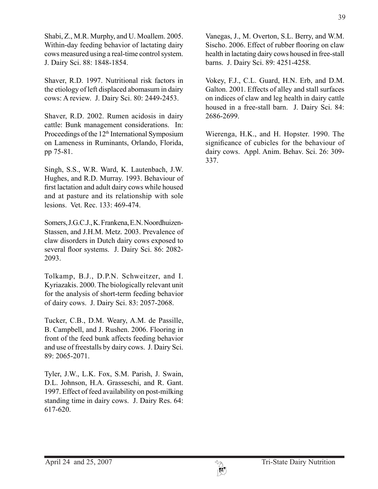Shabi, Z., M.R. Murphy, and U. Moallem. 2005. Within-day feeding behavior of lactating dairy cows measured using a real-time control system. J. Dairy Sci. 88: 1848-1854.

Shaver, R.D. 1997. Nutritional risk factors in the etiology of left displaced abomasum in dairy cows: A review. J. Dairy Sci. 80: 2449-2453.

Shaver, R.D. 2002. Rumen acidosis in dairy cattle: Bunk management considerations. In: Proceedings of the 12<sup>th</sup> International Symposium on Lameness in Ruminants, Orlando, Florida, pp 75-81.

Singh, S.S., W.R. Ward, K. Lautenbach, J.W. Hughes, and R.D. Murray. 1993. Behaviour of first lactation and adult dairy cows while housed and at pasture and its relationship with sole lesions. Vet. Rec. 133: 469-474.

Somers, J.G.C.J., K. Frankena, E.N. Noordhuizen-Stassen, and J.H.M. Metz. 2003. Prevalence of claw disorders in Dutch dairy cows exposed to several floor systems. J. Dairy Sci. 86: 2082- 2093.

Tolkamp, B.J., D.P.N. Schweitzer, and I. Kyriazakis. 2000. The biologically relevant unit for the analysis of short-term feeding behavior of dairy cows. J. Dairy Sci. 83: 2057-2068.

Tucker, C.B., D.M. Weary, A.M. de Passille, B. Campbell, and J. Rushen. 2006. Flooring in front of the feed bunk affects feeding behavior and use of freestalls by dairy cows. J. Dairy Sci. 89: 2065-2071.

Tyler, J.W., L.K. Fox, S.M. Parish, J. Swain, D.L. Johnson, H.A. Grasseschi, and R. Gant. 1997. Effect of feed availability on post-milking standing time in dairy cows. J. Dairy Res. 64: 617-620.

Vanegas, J., M. Overton, S.L. Berry, and W.M. Sischo. 2006. Effect of rubber flooring on claw health in lactating dairy cows housed in free-stall barns. J. Dairy Sci. 89: 4251-4258.

Vokey, F.J., C.L. Guard, H.N. Erb, and D.M. Galton. 2001. Effects of alley and stall surfaces on indices of claw and leg health in dairy cattle housed in a free-stall barn. J. Dairy Sci. 84: 2686-2699.

Wierenga, H.K., and H. Hopster. 1990. The significance of cubicles for the behaviour of dairy cows. Appl. Anim. Behav. Sci. 26: 309- 337.

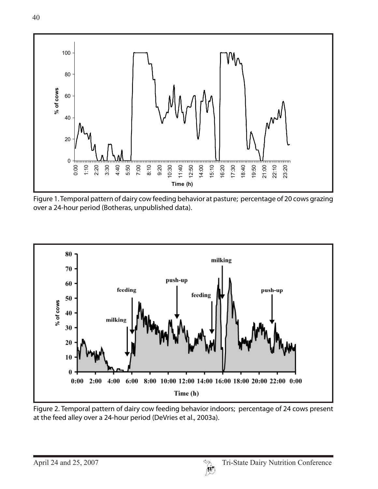

Figure 1. Temporal pattern of dairy cow feeding behavior at pasture; percentage of 20 cows grazing over a 24-hour period (Botheras, unpublished data).



Figure 2. Temporal pattern of dairy cow feeding behavior indoors; percentage of 24 cows present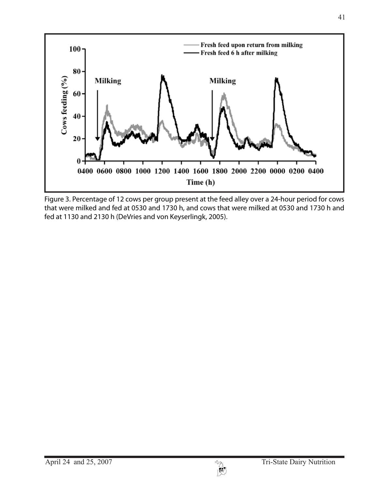

Figure 3. Percentage of 12 cows per group present at the feed alley over a 24-hour period for cows that were milked and fed at 0530 and 1730 h, and cows that were milked at 0530 and 1730 h and fed at 1130 and 2130 h (DeVries and von Keyserlingk, 2005).